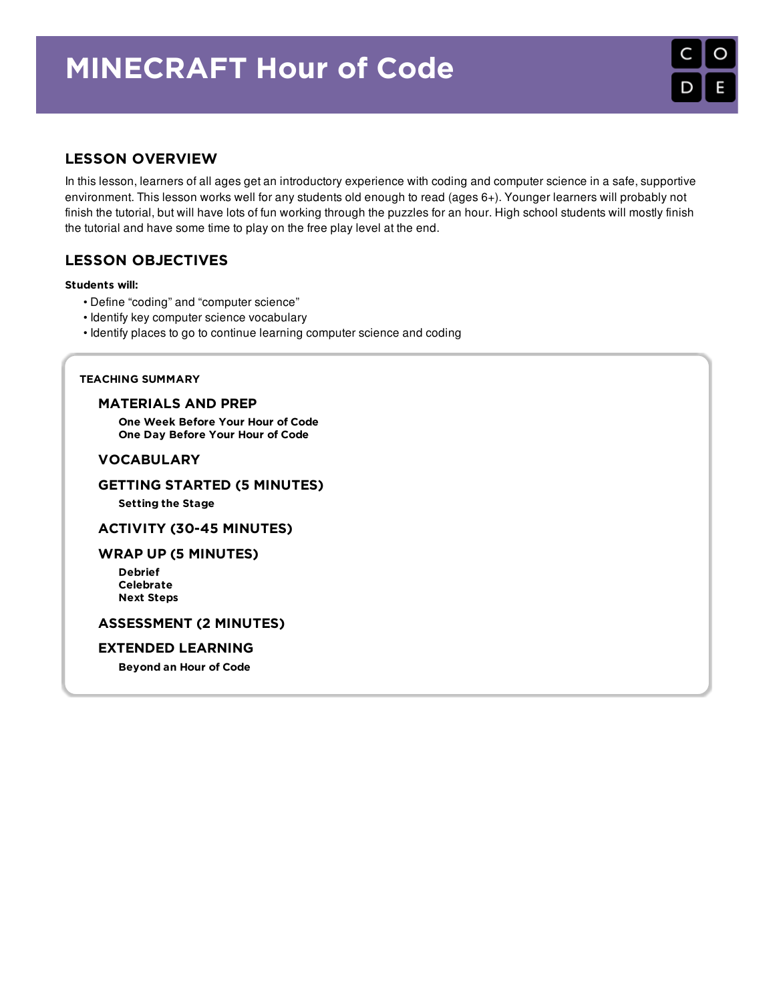# MINECRAFT Hour of Code

# LESSON OVERVIEW

In this lesson, learners of all ages get an introductory experience with coding and computer science in a safe, supportive environment. This lesson works well for any students old enough to read (ages 6+). Younger learners will probably not finish the tutorial, but will have lots of fun working through the puzzles for an hour. High school students will mostly finish the tutorial and have some time to play on the free play level at the end.

# LESSON OBJECTIVES

#### Students will:

- Define "coding" and "computer science"
- Identify key computer science vocabulary
- Identify places to go to continue learning computer science and coding

#### TEACHING SUMMARY

#### [MATERIALS](#page-1-0) AND PREP

One Week [Before](#page-1-1) Your Hour of Code One Day [Before](#page-1-2) Your Hour of Code

### [VOCABULARY](#page-1-3)

#### GETTING STARTED (5 [MINUTES\)](#page-1-4)

[Setting](#page-1-5) the Stage

#### ACTIVITY (30-45 [MINUTES\)](#page-1-6)

#### WRAP UP (5 [MINUTES\)](#page-2-0)

[Debrief](#page-2-1) [Celebrate](#page-2-2) Next [Steps](#page-2-3)

#### [ASSESSMENT](#page-2-4) (2 MINUTES)

#### EXTENDED [LEARNING](#page-2-5)

[Beyond](#page-2-6) an Hour of Code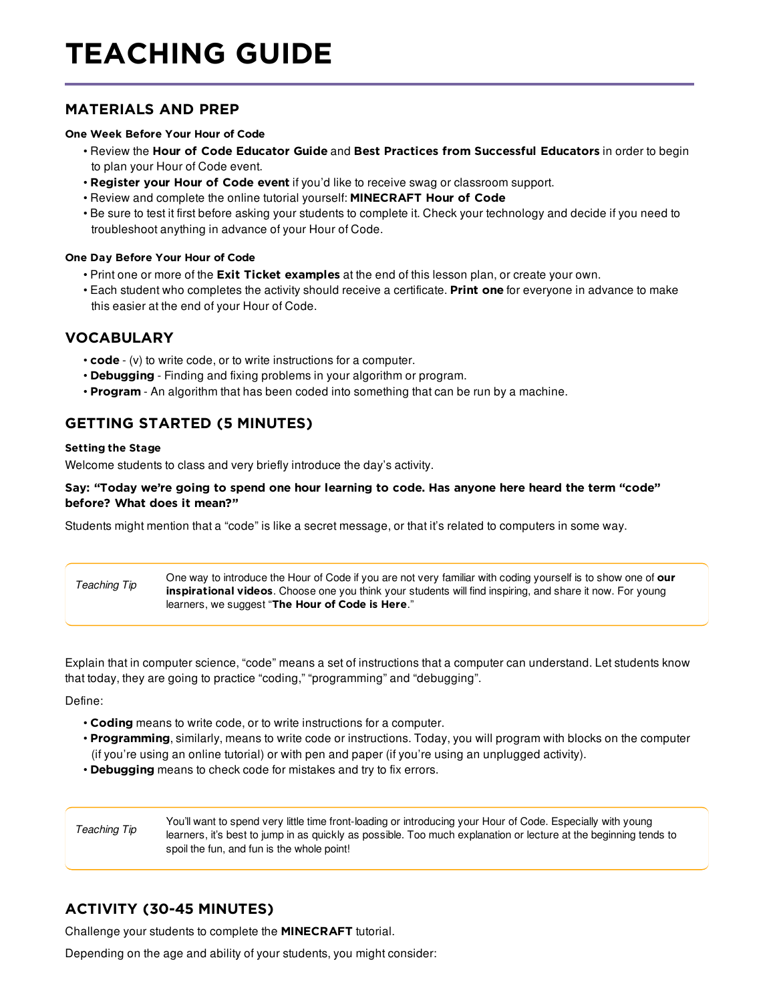# TEACHING GUIDE

## <span id="page-1-0"></span>MATERIALS AND PREP

#### <span id="page-1-1"></span>One Week Before Your Hour of Code

- Review the Hour of Code [Educator](http://hourofcode.com/resources/how-to/) Guide and Best Practices from [Successful](http://www.slideshare.net/TeachCode/hour-of-code-best-practices-for-successful-educators-51273466) Educators in order to begin to plan your Hour of Code event.
- [Register](http://hourofcode.com) your Hour of Code event if you'd like to receive swag or classroom support.
- Review and complete the online tutorial yourself: [MINECRAFT](https:/hourofcode.com/mc) Hour of Code
- Be sure to test it first before asking your students to complete it. Check your technology and decide if you need to troubleshoot anything in advance of your Hour of Code.

#### <span id="page-1-2"></span>One Day Before Your Hour of Code

- Print one or more of the **Exit Ticket [examples](https://docs.google.com/a/code.org/document/d/1ylIlO7Pppk6W3Jt58VHS5mjvnshg9URvj3iCU0Ok6qY/edit?usp=sharing)** at the end of this lesson plan, or create your own.
- Each student who completes the activity should receive a certificate. [Print](http://code.org/certificates) one for everyone in advance to make this easier at the end of your Hour of Code.

### <span id="page-1-3"></span>VOCABULARY

- code (v) to write code, or to write instructions for a computer.
- Debugging Finding and fixing problems in your algorithm or program.
- Program An algorithm that has been coded into something that can be run by a machine.

# <span id="page-1-4"></span>GETTING STARTED (5 MINUTES)

#### <span id="page-1-5"></span>Setting the Stage

Welcome students to class and very briefly introduce the day's activity.

#### Say: "Today we're going to spend one hour learning to code. Has anyone here heard the term "code" before? What does it mean?"

Students might mention that a "code" is like a secret message, or that it's related to computers in some way.

*Teaching Tip* One way to introduce the Hour of Code if you are not very familiar with coding yourself is to show one of our [inspirational](https://hourofcode.com/us/resources#videos) videos. Choose one you think your students will find inspiring, and share it now. For young learners, we suggest "The Hour of [Code](https://youtu.be/FC5FbmsH4fw) is Here."

Explain that in computer science, "code" means a set of instructions that a computer can understand. Let students know that today, they are going to practice "coding," "programming" and "debugging".

Define:

- Coding means to write code, or to write instructions for a computer.
- Programming, similarly, means to write code or instructions. Today, you will program with blocks on the computer (if you're using an online tutorial) or with pen and paper (if you're using an unplugged activity).
- Debugging means to check code for mistakes and try to fix errors.

*Teaching Tip* You'll want to spend very little time front-loading or introducing your Hour of Code. Especially with young learners, it's best to jump in as quickly as possible. Too much explanation or lecture at the beginning tends to spoil the fun, and fun is the whole point!

# <span id="page-1-6"></span>ACTIVITY (30-45 MINUTES)

Challenge your students to complete the [MINECRAFT](https://hourofcode.com/mc) tutorial.

Depending on the age and ability of your students, you might consider: